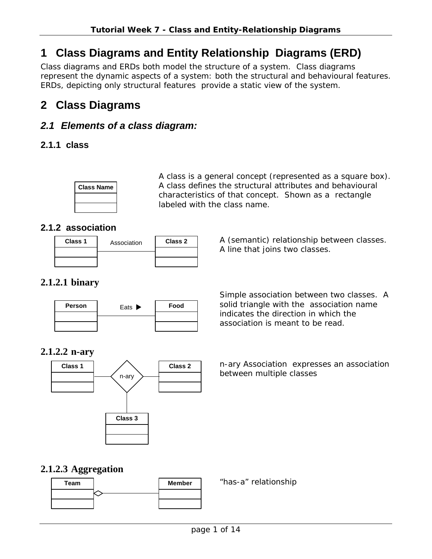# **1 Class Diagrams and Entity Relationship Diagrams (ERD)**

Class diagrams and ERDs both model the structure of a system. Class diagrams represent the dynamic aspects of a system: both the structural and behavioural features. ERDs, depicting only structural features provide a static view of the system.

# **2 Class Diagrams**

# *2.1 Elements of a class diagram:*

## **2.1.1 class**



A class is a general concept (represented as a square box). A class defines the structural attributes and behavioural characteristics of that concept. Shown as a rectangle labeled with the class name.

# **2.1.2 association**

| Class 1 | Association | Class 2 |  |
|---------|-------------|---------|--|
|         |             |         |  |
|         |             |         |  |

**Class 1** Association **Class 2** A (semantic) relationship between classes. A line that joins two classes.

# **2.1.2.1 binary**



Simple association between two classes. A solid triangle with the association name indicates the direction in which the association is meant to be read.

## **2.1.2.2 n-ary**



n-ary Association expresses an association between multiple classes

## **2.1.2.3 Aggregation**

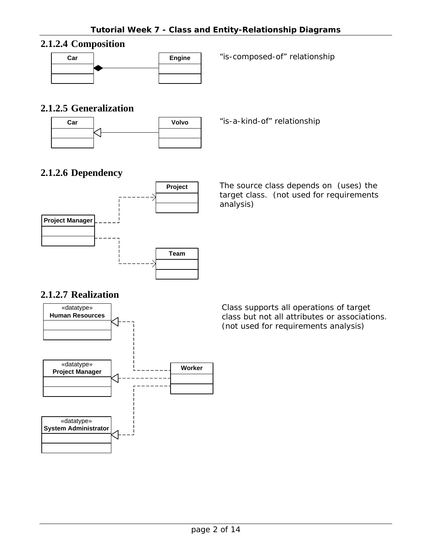# **2.1.2.4 Composition**



## **2.1.2.5 Generalization**



## **2.1.2.6 Dependency**



The source class depends on (uses) the target class. (not used for requirements analysis)

## **2.1.2.7 Realization**



Class supports all operations of target class but not all attributes or associations. (not used for requirements analysis)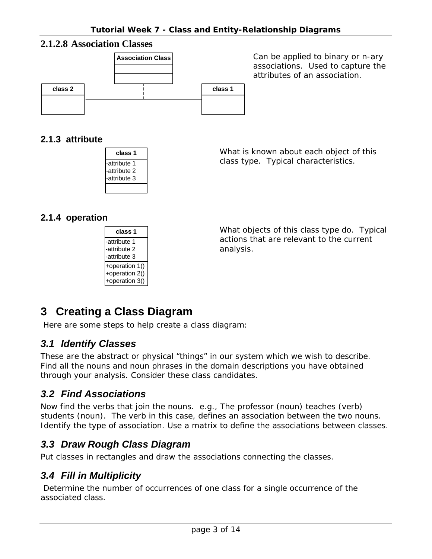#### **2.1.2.8 Association Classes**



associations. Used to capture the attributes of an association.

#### **2.1.3 attribute**

| class 1      |
|--------------|
| -attribute 1 |
| -attribute 2 |
| -attribute 3 |
|              |

What is known about each object of this class type. Typical characteristics.

## **2.1.4 operation**

| class 1        |
|----------------|
| -attribute 1   |
| -attribute 2   |
| -attribute 3   |
| +operation 1() |
| +operation 2() |
| +operation 3() |

What objects of this class type do. Typical actions that are relevant to the current analysis.

# **3 Creating a Class Diagram**

Here are some steps to help create a class diagram:

## *3.1 Identify Classes*

These are the abstract or physical "things" in our system which we wish to describe. Find all the nouns and noun phrases in the domain descriptions you have obtained through your analysis. Consider these class candidates.

## *3.2 Find Associations*

Now find the verbs that join the nouns. e.g., The professor (noun) teaches (verb) students (noun). The verb in this case, defines an association between the two nouns. Identify the type of association. Use a matrix to define the associations between classes.

## *3.3 Draw Rough Class Diagram*

Put classes in rectangles and draw the associations connecting the classes.

## *3.4 Fill in Multiplicity*

Determine the number of occurrences of one class for a single occurrence of the associated class.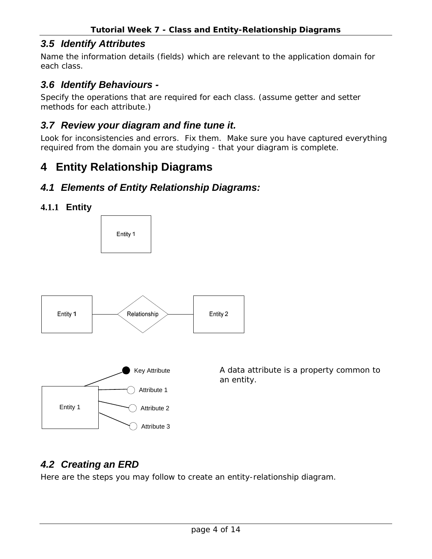# *3.5 Identify Attributes*

Name the information details (fields) which are relevant to the application domain for each class.

# *3.6 Identify Behaviours -*

Specify the operations that are required for each class. (assume getter and setter methods for each attribute.)

## *3.7 Review your diagram and fine tune it.*

Look for inconsistencies and errors. Fix them. Make sure you have captured everything required from the domain you are studying - that your diagram is complete.

# **4 Entity Relationship Diagrams**

# *4.1 Elements of Entity Relationship Diagrams:*





# *4.2 Creating an ERD*

Here are the steps you may follow to create an entity-relationship diagram.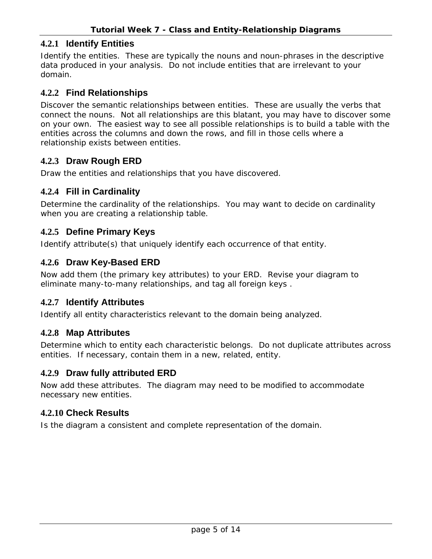#### **4.2.1 Identify Entities**

Identify the entities. These are typically the nouns and noun-phrases in the descriptive data produced in your analysis. Do not include entities that are irrelevant to your domain.

#### **4.2.2 Find Relationships**

Discover the semantic relationships between entities. These are usually the verbs that connect the nouns. Not all relationships are this blatant, you may have to discover some on your own. The easiest way to see all possible relationships is to build a table with the entities across the columns and down the rows, and fill in those cells where a relationship exists between entities.

#### **4.2.3 Draw Rough ERD**

Draw the entities and relationships that you have discovered.

#### **4.2.4 Fill in Cardinality**

Determine the cardinality of the relationships. You may want to decide on cardinality when you are creating a relationship table.

#### **4.2.5 Define Primary Keys**

Identify attribute(s) that uniquely identify each occurrence of that entity.

#### **4.2.6 Draw Key-Based ERD**

Now add them (the primary key attributes) to your ERD. Revise your diagram to eliminate many-to-many relationships, and tag all foreign keys .

#### **4.2.7 Identify Attributes**

Identify all entity characteristics relevant to the domain being analyzed.

#### **4.2.8 Map Attributes**

Determine which to entity each characteristic belongs. Do not duplicate attributes across entities. If necessary, contain them in a new, related, entity.

#### **4.2.9 Draw fully attributed ERD**

Now add these attributes. The diagram may need to be modified to accommodate necessary new entities.

#### **4.2.10 Check Results**

Is the diagram a consistent and complete representation of the domain.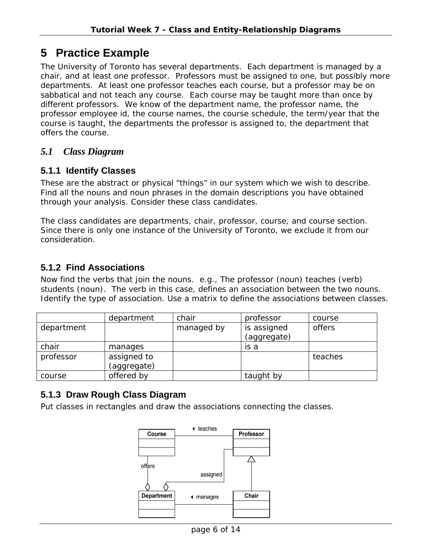# **5 Practice Example**

The University of Toronto has several departments. Each department is managed by a chair, and at least one professor. Professors must be assigned to one, but possibly more departments. At least one professor teaches each course, but a professor may be on sabbatical and not teach any course. Each course may be taught more than once by different professors. We know of the department name, the professor name, the professor employee id, the course names, the course schedule, the term/year that the course is taught, the departments the professor is assigned to, the department that offers the course.

## *5.1 Class Diagram*

#### **5.1.1 Identify Classes**

These are the abstract or physical "things" in our system which we wish to describe. Find all the nouns and noun phrases in the domain descriptions you have obtained through your analysis. Consider these class candidates.

The class candidates are departments, chair, professor, course, and course section. Since there is only one instance of the University of Toronto, we exclude it from our consideration.

## **5.1.2 Find Associations**

Now find the verbs that join the nouns. e.g., The professor (noun) teaches (verb) students (noun). The verb in this case, defines an association between the two nouns. Identify the type of association. Use a matrix to define the associations between classes.

|            | department                 | chair      | professor                  | course  |
|------------|----------------------------|------------|----------------------------|---------|
| department |                            | managed by | is assigned<br>(aggregate) | offers  |
| chair      | manages                    |            | is a                       |         |
| professor  | assigned to<br>(aggregate) |            |                            | teaches |
| course     | offered by                 |            | taught by                  |         |

## **5.1.3 Draw Rough Class Diagram**

Put classes in rectangles and draw the associations connecting the classes.

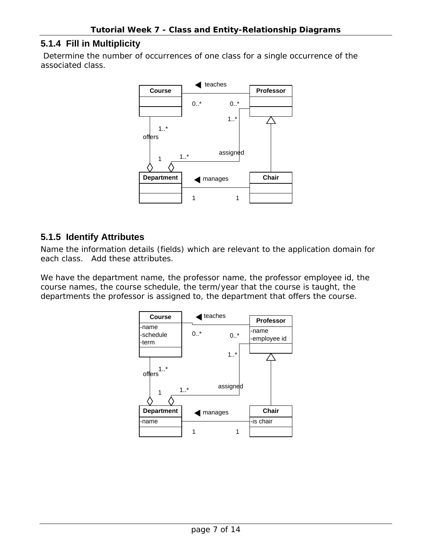#### **5.1.4 Fill in Multiplicity**

Determine the number of occurrences of one class for a single occurrence of the associated class.



#### **5.1.5 Identify Attributes**

Name the information details (fields) which are relevant to the application domain for each class. Add these attributes.

We have the department name, the professor name, the professor employee id, the course names, the course schedule, the term/year that the course is taught, the departments the professor is assigned to, the department that offers the course.

| <b>Course</b>               | teaches |              |                       |                  |
|-----------------------------|---------|--------------|-----------------------|------------------|
|                             |         |              |                       | <b>Professor</b> |
| -name<br>-schedule<br>-term | $0.7*$  | 0.7          | -name<br>-employee id |                  |
|                             |         | $1.1*$       |                       |                  |
| $\cdot$ *<br>offers         |         |              |                       |                  |
| 1                           | $1.$ *  | assigned     |                       |                  |
| <b>Department</b>           | manages | <b>Chair</b> |                       |                  |
| -name                       |         |              | -is chair             |                  |
|                             |         |              |                       |                  |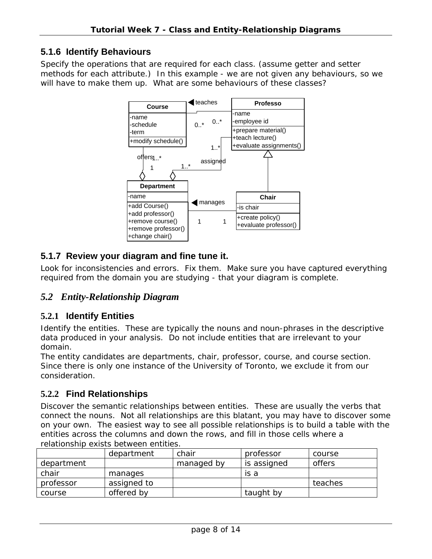## **5.1.6 Identify Behaviours**

Specify the operations that are required for each class. (assume getter and setter methods for each attribute.) In this example - we are not given any behaviours, so we will have to make them up. What are some behaviours of these classes?



## **5.1.7 Review your diagram and fine tune it.**

Look for inconsistencies and errors. Fix them. Make sure you have captured everything required from the domain you are studying - that your diagram is complete.

## *5.2 Entity-Relationship Diagram*

## **5.2.1 Identify Entities**

Identify the entities. These are typically the nouns and noun-phrases in the descriptive data produced in your analysis. Do not include entities that are irrelevant to your domain.

The entity candidates are departments, chair, professor, course, and course section. Since there is only one instance of the University of Toronto, we exclude it from our consideration.

#### **5.2.2 Find Relationships**

Discover the semantic relationships between entities. These are usually the verbs that connect the nouns. Not all relationships are this blatant, you may have to discover some on your own. The easiest way to see all possible relationships is to build a table with the entities across the columns and down the rows, and fill in those cells where a relationship exists between entities.

|            | department  | chair      | professor   | course  |
|------------|-------------|------------|-------------|---------|
| department |             | managed by | is assigned | offers  |
| chair      | manages     |            | is a        |         |
| professor  | assigned to |            |             | teaches |
| course     | offered by  |            | taught by   |         |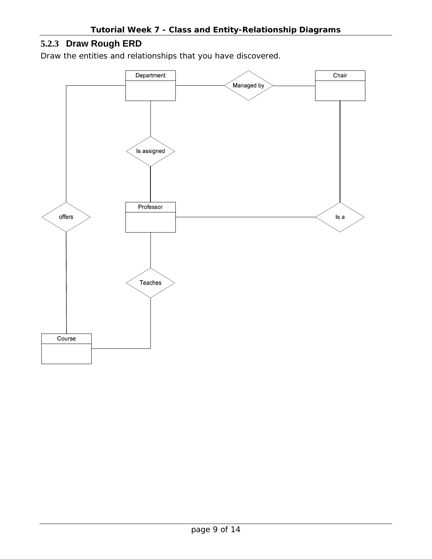# **5.2.3 Draw Rough ERD**

Draw the entities and relationships that you have discovered.

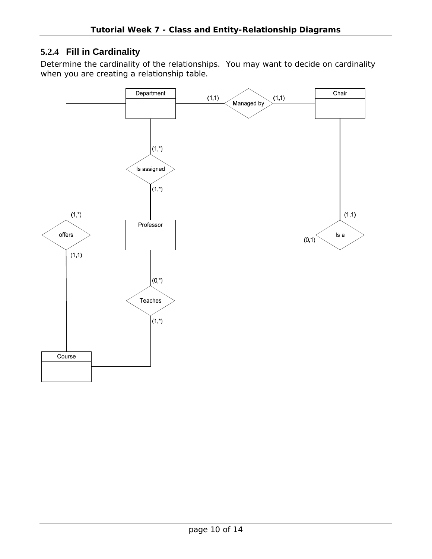## **5.2.4 Fill in Cardinality**

Determine the cardinality of the relationships. You may want to decide on cardinality when you are creating a relationship table.

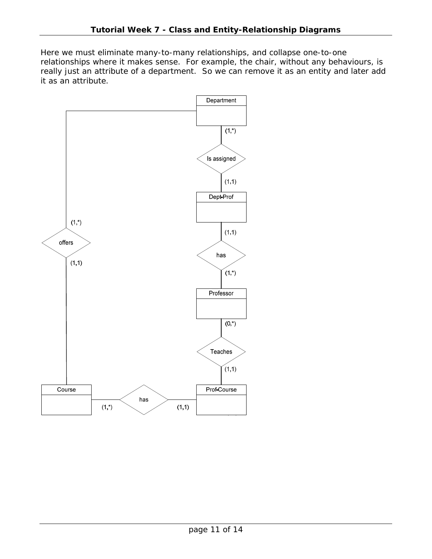Here we must eliminate many-to-many relationships, and collapse one-to-one relationships where it makes sense. For example, the chair, without any behaviours, is really just an attribute of a department. So we can remove it as an entity and later add it as an attribute.

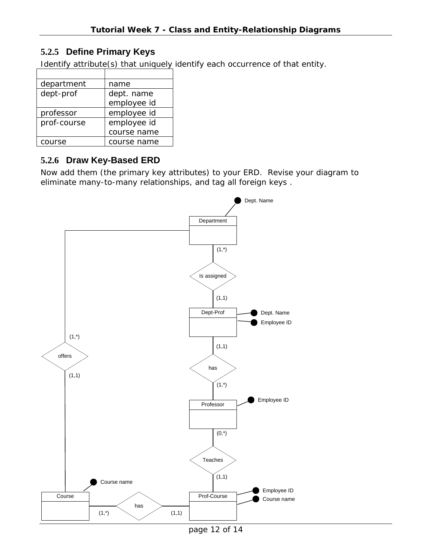## **5.2.5 Define Primary Keys**

Identify attribute(s) that uniquely identify each occurrence of that entity.

| department  | name        |
|-------------|-------------|
| dept-prof   | dept. name  |
|             | employee id |
| professor   | employee id |
| prof-course | employee id |
|             | course name |
| course      | course name |

## **5.2.6 Draw Key-Based ERD**

Now add them (the primary key attributes) to your ERD. Revise your diagram to eliminate many-to-many relationships, and tag all foreign keys .

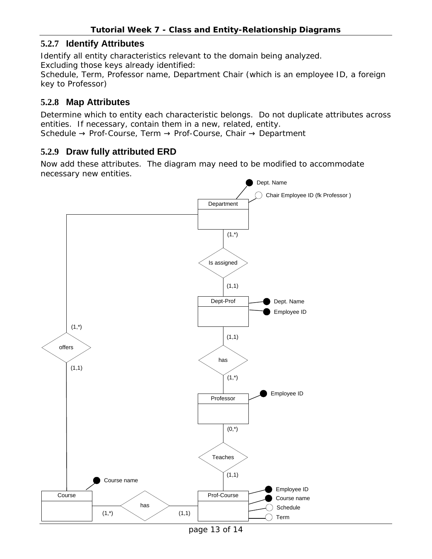#### **5.2.7 Identify Attributes**

Identify all entity characteristics relevant to the domain being analyzed. Excluding those keys already identified:

Schedule, Term, Professor name, Department Chair (which is an employee ID, a foreign key to Professor)

#### **5.2.8 Map Attributes**

Determine which to entity each characteristic belongs. Do not duplicate attributes across entities. If necessary, contain them in a new, related, entity. Schedule  $\rightarrow$  Prof-Course, Term  $\rightarrow$  Prof-Course, Chair  $\rightarrow$  Department

#### **5.2.9 Draw fully attributed ERD**

Now add these attributes. The diagram may need to be modified to accommodate necessary new entities.



page 13 of 14